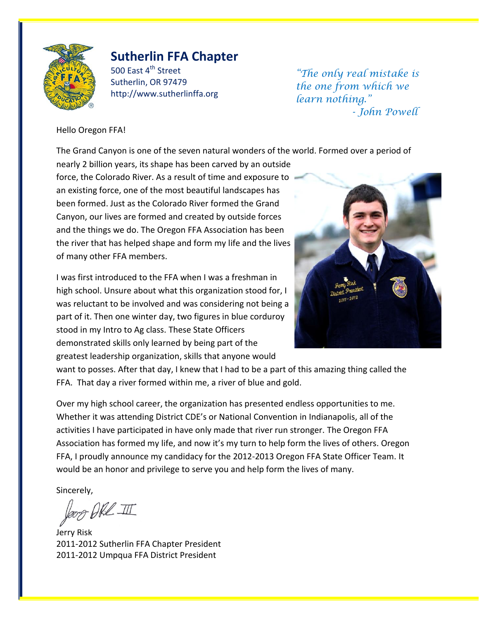

## **Sutherlin FFA Chapter**

500 Fast 4<sup>th</sup> Street Sutherlin, OR 97479 http://www.sutherlinffa.org

*"The only real mistake is the one from which we learn nothing." - John Powell*

#### Hello Oregon FFA!

The Grand Canyon is one of the seven natural wonders of the world. Formed over a period of

nearly 2 billion years, its shape has been carved by an outside force, the Colorado River. As a result of time and exposure to an existing force, one of the most beautiful landscapes has been formed. Just as the Colorado River formed the Grand Canyon, our lives are formed and created by outside forces and the things we do. The Oregon FFA Association has been the river that has helped shape and form my life and the lives of many other FFA members.

I was first introduced to the FFA when I was a freshman in high school. Unsure about what this organization stood for, I was reluctant to be involved and was considering not being a part of it. Then one winter day, two figures in blue corduroy stood in my Intro to Ag class. These State Officers demonstrated skills only learned by being part of the greatest leadership organization, skills that anyone would



want to posses. After that day, I knew that I had to be a part of this amazing thing called the FFA. That day a river formed within me, a river of blue and gold.

Over my high school career, the organization has presented endless opportunities to me. Whether it was attending District CDE's or National Convention in Indianapolis, all of the activities I have participated in have only made that river run stronger. The Oregon FFA Association has formed my life, and now it's my turn to help form the lives of others. Oregon FFA, I proudly announce my candidacy for the 2012-2013 Oregon FFA State Officer Team. It would be an honor and privilege to serve you and help form the lives of many.

Sincerely,

for Okl III

Jerry Risk 2011-2012 Sutherlin FFA Chapter President 2011-2012 Umpqua FFA District President